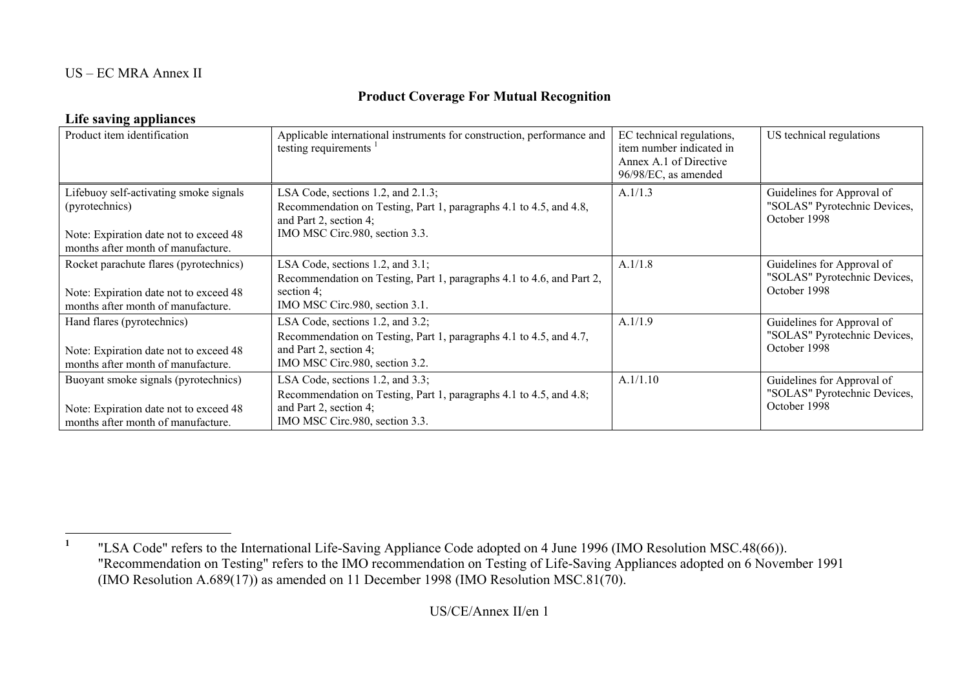### <span id="page-0-0"></span>US – EC MRA Annex II

## **Product Coverage For Mutual Recognition**

### **Life saving appliances**

| Product item identification                                                                                                              | Applicable international instruments for construction, performance and<br>testing requirements                                                                       | EC technical regulations,<br>item number indicated in<br>Annex A.1 of Directive<br>96/98/EC, as amended | US technical regulations                                                   |
|------------------------------------------------------------------------------------------------------------------------------------------|----------------------------------------------------------------------------------------------------------------------------------------------------------------------|---------------------------------------------------------------------------------------------------------|----------------------------------------------------------------------------|
| Lifebuoy self-activating smoke signals<br>(pyrotechnics)<br>Note: Expiration date not to exceed 48<br>months after month of manufacture. | LSA Code, sections 1.2, and 2.1.3;<br>Recommendation on Testing, Part 1, paragraphs 4.1 to 4.5, and 4.8,<br>and Part 2, section 4;<br>IMO MSC Circ.980, section 3.3. | A.1/1.3                                                                                                 | Guidelines for Approval of<br>"SOLAS" Pyrotechnic Devices,<br>October 1998 |
| Rocket parachute flares (pyrotechnics)<br>Note: Expiration date not to exceed 48<br>months after month of manufacture.                   | LSA Code, sections 1.2, and 3.1;<br>Recommendation on Testing, Part 1, paragraphs 4.1 to 4.6, and Part 2,<br>section $4$ ;<br>IMO MSC Circ.980, section 3.1.         | A.1/1.8                                                                                                 | Guidelines for Approval of<br>"SOLAS" Pyrotechnic Devices,<br>October 1998 |
| Hand flares (pyrotechnics)<br>Note: Expiration date not to exceed 48<br>months after month of manufacture.                               | LSA Code, sections 1.2, and 3.2;<br>Recommendation on Testing, Part 1, paragraphs 4.1 to 4.5, and 4.7,<br>and Part 2, section 4;<br>IMO MSC Circ.980, section 3.2.   | A.1/1.9                                                                                                 | Guidelines for Approval of<br>"SOLAS" Pyrotechnic Devices,<br>October 1998 |
| Buoyant smoke signals (pyrotechnics)<br>Note: Expiration date not to exceed 48<br>months after month of manufacture.                     | LSA Code, sections 1.2, and 3.3;<br>Recommendation on Testing, Part 1, paragraphs 4.1 to 4.5, and 4.8;<br>and Part 2, section 4;<br>IMO MSC Circ.980, section 3.3.   | A.1/1.10                                                                                                | Guidelines for Approval of<br>"SOLAS" Pyrotechnic Devices,<br>October 1998 |

**<sup>1</sup>** "LSA Code" refers to the International Life-Saving Appliance Code adopted on 4 June 1996 (IMO Resolution MSC.48(66)). "Recommendation on Testing" refers to the IMO recommendation on Testing of Life-Saving Appliances adopted on 6 November 1991 (IMO Resolution A.689(17)) as amended on 11 December 1998 (IMO Resolution MSC.81(70).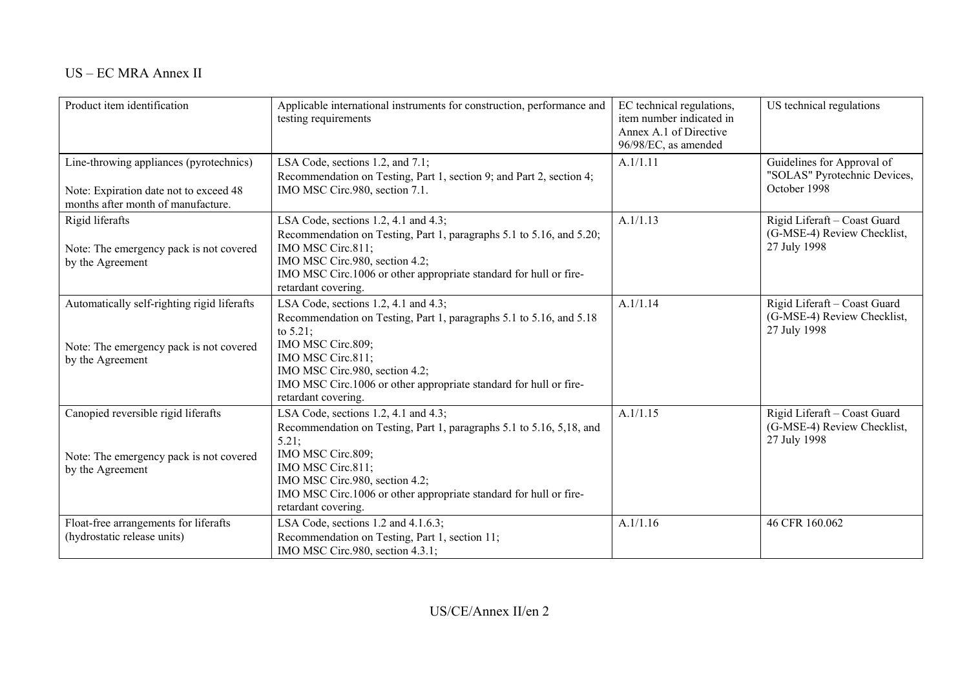| Product item identification                                                                                             | Applicable international instruments for construction, performance and<br>testing requirements                                                                                                                                                                                                     | EC technical regulations,<br>item number indicated in<br>Annex A.1 of Directive<br>96/98/EC, as amended | US technical regulations                                                    |
|-------------------------------------------------------------------------------------------------------------------------|----------------------------------------------------------------------------------------------------------------------------------------------------------------------------------------------------------------------------------------------------------------------------------------------------|---------------------------------------------------------------------------------------------------------|-----------------------------------------------------------------------------|
| Line-throwing appliances (pyrotechnics)<br>Note: Expiration date not to exceed 48<br>months after month of manufacture. | LSA Code, sections 1.2, and 7.1;<br>Recommendation on Testing, Part 1, section 9; and Part 2, section 4;<br>IMO MSC Circ.980, section 7.1.                                                                                                                                                         | A.1/1.11                                                                                                | Guidelines for Approval of<br>"SOLAS" Pyrotechnic Devices,<br>October 1998  |
| Rigid liferafts<br>Note: The emergency pack is not covered<br>by the Agreement                                          | LSA Code, sections 1.2, 4.1 and 4.3;<br>Recommendation on Testing, Part 1, paragraphs 5.1 to 5.16, and 5.20;<br>IMO MSC Circ.811;<br>IMO MSC Circ.980, section 4.2;<br>IMO MSC Circ.1006 or other appropriate standard for hull or fire-<br>retardant covering.                                    | A.1/1.13                                                                                                | Rigid Liferaft - Coast Guard<br>(G-MSE-4) Review Checklist,<br>27 July 1998 |
| Automatically self-righting rigid liferafts<br>Note: The emergency pack is not covered<br>by the Agreement              | LSA Code, sections 1.2, 4.1 and 4.3;<br>Recommendation on Testing, Part 1, paragraphs 5.1 to 5.16, and 5.18<br>to $5.21$ ;<br>IMO MSC Circ.809;<br>IMO MSC Circ.811;<br>IMO MSC Circ.980, section 4.2;<br>IMO MSC Circ.1006 or other appropriate standard for hull or fire-<br>retardant covering. | A.1/1.14                                                                                                | Rigid Liferaft - Coast Guard<br>(G-MSE-4) Review Checklist,<br>27 July 1998 |
| Canopied reversible rigid liferafts<br>Note: The emergency pack is not covered<br>by the Agreement                      | LSA Code, sections 1.2, 4.1 and 4.3;<br>Recommendation on Testing, Part 1, paragraphs 5.1 to 5.16, 5,18, and<br>5.21;<br>IMO MSC Circ.809;<br>IMO MSC Circ.811;<br>IMO MSC Circ.980, section 4.2;<br>IMO MSC Circ.1006 or other appropriate standard for hull or fire-<br>retardant covering.      | A.1/1.15                                                                                                | Rigid Liferaft - Coast Guard<br>(G-MSE-4) Review Checklist,<br>27 July 1998 |
| Float-free arrangements for liferafts<br>(hydrostatic release units)                                                    | LSA Code, sections 1.2 and 4.1.6.3;<br>Recommendation on Testing, Part 1, section 11;<br>IMO MSC Circ.980, section 4.3.1;                                                                                                                                                                          | A.1/1.16                                                                                                | 46 CFR 160.062                                                              |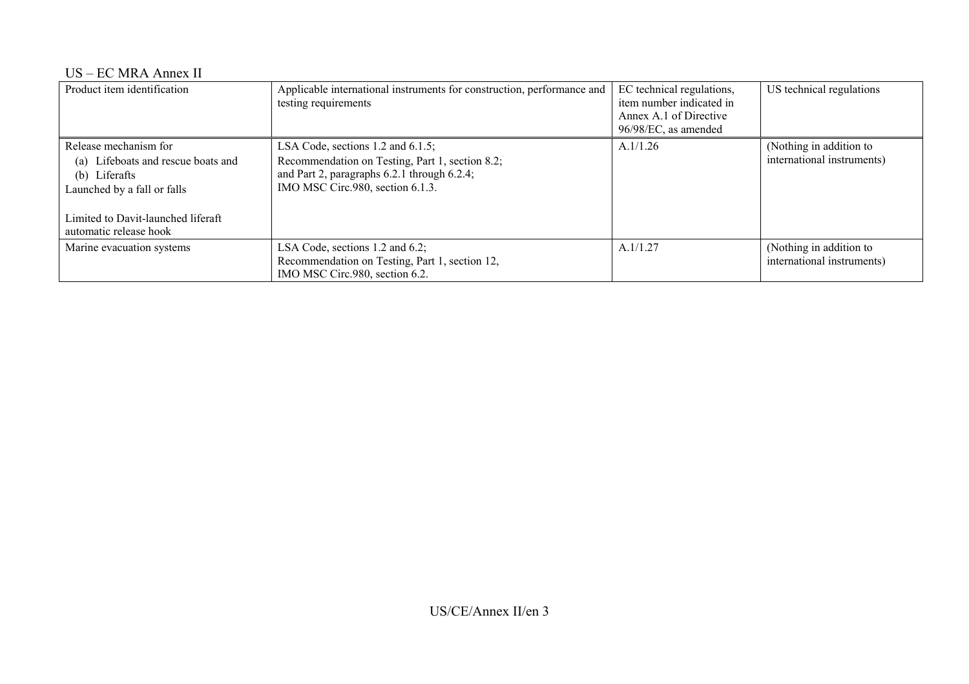#### US – EC MRA Annex II

| Product item identification                                                                                                                                                    | Applicable international instruments for construction, performance and<br>testing requirements                                                                               | EC technical regulations,<br>item number indicated in<br>Annex A.1 of Directive<br>96/98/EC, as amended | US technical regulations                              |
|--------------------------------------------------------------------------------------------------------------------------------------------------------------------------------|------------------------------------------------------------------------------------------------------------------------------------------------------------------------------|---------------------------------------------------------------------------------------------------------|-------------------------------------------------------|
| Release mechanism for<br>Lifeboats and rescue boats and<br>(a)<br>(b) Liferafts<br>Launched by a fall or falls<br>Limited to Davit-launched liferaft<br>automatic release hook | LSA Code, sections $1.2$ and $6.1.5$ ;<br>Recommendation on Testing, Part 1, section 8.2;<br>and Part 2, paragraphs 6.2.1 through 6.2.4;<br>IMO MSC Circ.980, section 6.1.3. | A.1/1.26                                                                                                | (Nothing in addition to<br>international instruments) |
| Marine evacuation systems                                                                                                                                                      | LSA Code, sections 1.2 and 6.2;<br>Recommendation on Testing, Part 1, section 12,<br>IMO MSC Circ.980, section 6.2.                                                          | A.1/1.27                                                                                                | (Nothing in addition to<br>international instruments) |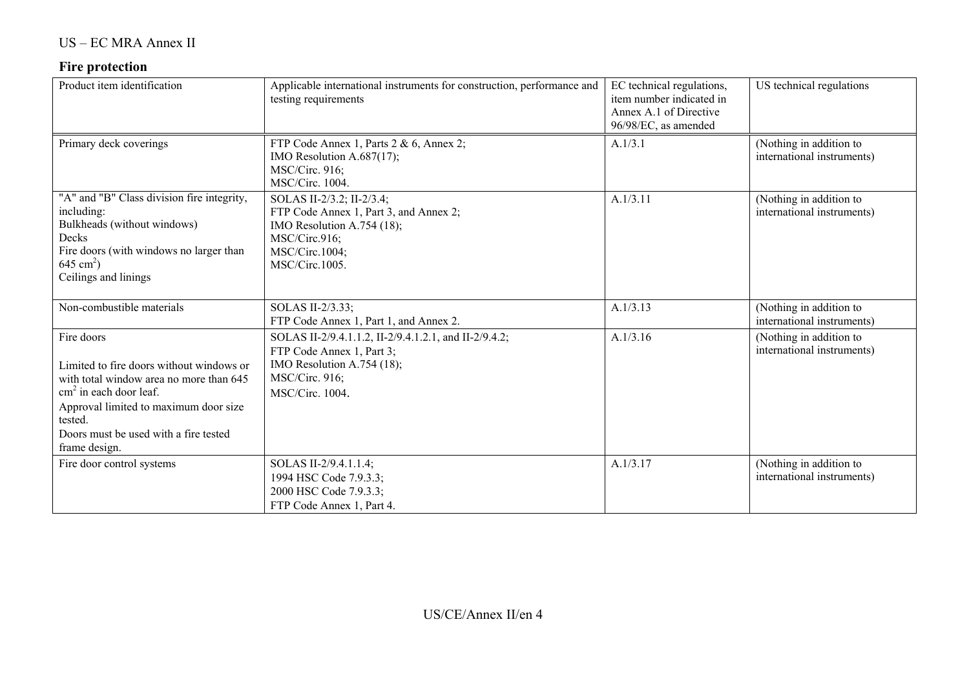# **Fire protection**

| Product item identification                                                                                                                                                                                                                         | Applicable international instruments for construction, performance and<br>testing requirements                                                               | EC technical regulations,<br>item number indicated in<br>Annex A.1 of Directive<br>96/98/EC, as amended | US technical regulations                              |
|-----------------------------------------------------------------------------------------------------------------------------------------------------------------------------------------------------------------------------------------------------|--------------------------------------------------------------------------------------------------------------------------------------------------------------|---------------------------------------------------------------------------------------------------------|-------------------------------------------------------|
| Primary deck coverings                                                                                                                                                                                                                              | FTP Code Annex 1, Parts 2 & 6, Annex 2;<br>IMO Resolution A.687(17);<br><b>MSC/Circ. 916:</b><br>MSC/Circ. 1004.                                             | A.1/3.1                                                                                                 | (Nothing in addition to<br>international instruments) |
| "A" and "B" Class division fire integrity,<br>including:<br>Bulkheads (without windows)<br>Decks<br>Fire doors (with windows no larger than<br>$645 \text{ cm}^2$ )<br>Ceilings and linings                                                         | SOLAS II-2/3.2; II-2/3.4;<br>FTP Code Annex 1, Part 3, and Annex 2;<br>IMO Resolution A.754 (18);<br>MSC/Circ.916;<br>MSC/Circ.1004;<br>MSC/Circ.1005.       | A.1/3.11                                                                                                | (Nothing in addition to<br>international instruments) |
| Non-combustible materials                                                                                                                                                                                                                           | SOLAS II-2/3.33;<br>FTP Code Annex 1, Part 1, and Annex 2.                                                                                                   | A.1/3.13                                                                                                | (Nothing in addition to<br>international instruments) |
| Fire doors<br>Limited to fire doors without windows or<br>with total window area no more than 645<br>$\text{cm}^2$ in each door leaf.<br>Approval limited to maximum door size<br>tested.<br>Doors must be used with a fire tested<br>frame design. | SOLAS II-2/9.4.1.1.2, II-2/9.4.1.2.1, and II-2/9.4.2;<br>FTP Code Annex 1, Part 3;<br>IMO Resolution A.754 (18);<br><b>MSC/Circ. 916;</b><br>MSC/Circ. 1004. | A.1/3.16                                                                                                | (Nothing in addition to<br>international instruments) |
| Fire door control systems                                                                                                                                                                                                                           | SOLAS II-2/9.4.1.1.4;<br>1994 HSC Code 7.9.3.3;<br>2000 HSC Code 7.9.3.3;<br>FTP Code Annex 1, Part 4.                                                       | A.1/3.17                                                                                                | (Nothing in addition to<br>international instruments) |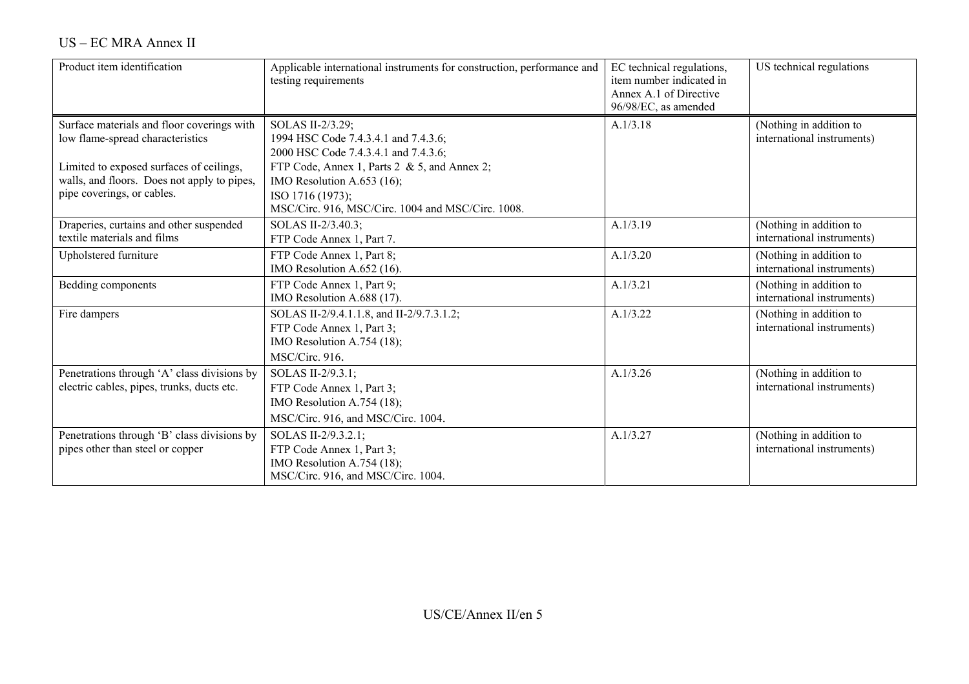| US – EC MRA Annex II |  |
|----------------------|--|
|----------------------|--|

| Product item identification                                                                                                                                                                             | Applicable international instruments for construction, performance and<br>testing requirements                                                                                                                                                          | EC technical regulations,<br>item number indicated in<br>Annex A.1 of Directive<br>96/98/EC, as amended | US technical regulations                              |
|---------------------------------------------------------------------------------------------------------------------------------------------------------------------------------------------------------|---------------------------------------------------------------------------------------------------------------------------------------------------------------------------------------------------------------------------------------------------------|---------------------------------------------------------------------------------------------------------|-------------------------------------------------------|
| Surface materials and floor coverings with<br>low flame-spread characteristics<br>Limited to exposed surfaces of ceilings,<br>walls, and floors. Does not apply to pipes,<br>pipe coverings, or cables. | SOLAS II-2/3.29;<br>1994 HSC Code 7.4.3.4.1 and 7.4.3.6;<br>2000 HSC Code 7.4.3.4.1 and 7.4.3.6;<br>FTP Code, Annex 1, Parts 2 & 5, and Annex 2;<br>IMO Resolution A.653 (16);<br>ISO 1716 (1973);<br>MSC/Circ. 916, MSC/Circ. 1004 and MSC/Circ. 1008. | A.1/3.18                                                                                                | (Nothing in addition to<br>international instruments) |
| Draperies, curtains and other suspended<br>textile materials and films                                                                                                                                  | SOLAS II-2/3.40.3;<br>FTP Code Annex 1, Part 7.                                                                                                                                                                                                         | A.1/3.19                                                                                                | (Nothing in addition to<br>international instruments) |
| Upholstered furniture                                                                                                                                                                                   | FTP Code Annex 1, Part 8;<br>IMO Resolution A.652 (16).                                                                                                                                                                                                 | A.1/3.20                                                                                                | (Nothing in addition to<br>international instruments) |
| Bedding components                                                                                                                                                                                      | FTP Code Annex 1, Part 9;<br>IMO Resolution A.688 (17).                                                                                                                                                                                                 | A.1/3.21                                                                                                | (Nothing in addition to<br>international instruments) |
| Fire dampers                                                                                                                                                                                            | SOLAS II-2/9.4.1.1.8, and II-2/9.7.3.1.2;<br>FTP Code Annex 1, Part 3;<br>IMO Resolution A.754 (18);<br>MSC/Circ. 916.                                                                                                                                  | A.1/3.22                                                                                                | (Nothing in addition to<br>international instruments) |
| Penetrations through 'A' class divisions by<br>electric cables, pipes, trunks, ducts etc.                                                                                                               | SOLAS II-2/9.3.1;<br>FTP Code Annex 1, Part 3;<br>IMO Resolution A.754 (18);<br>MSC/Circ. 916, and MSC/Circ. 1004.                                                                                                                                      | A.1/3.26                                                                                                | (Nothing in addition to<br>international instruments) |
| Penetrations through 'B' class divisions by<br>pipes other than steel or copper                                                                                                                         | SOLAS II-2/9.3.2.1;<br>FTP Code Annex 1, Part 3;<br>IMO Resolution A.754 (18);<br>MSC/Circ. 916, and MSC/Circ. 1004.                                                                                                                                    | A.1/3.27                                                                                                | (Nothing in addition to<br>international instruments) |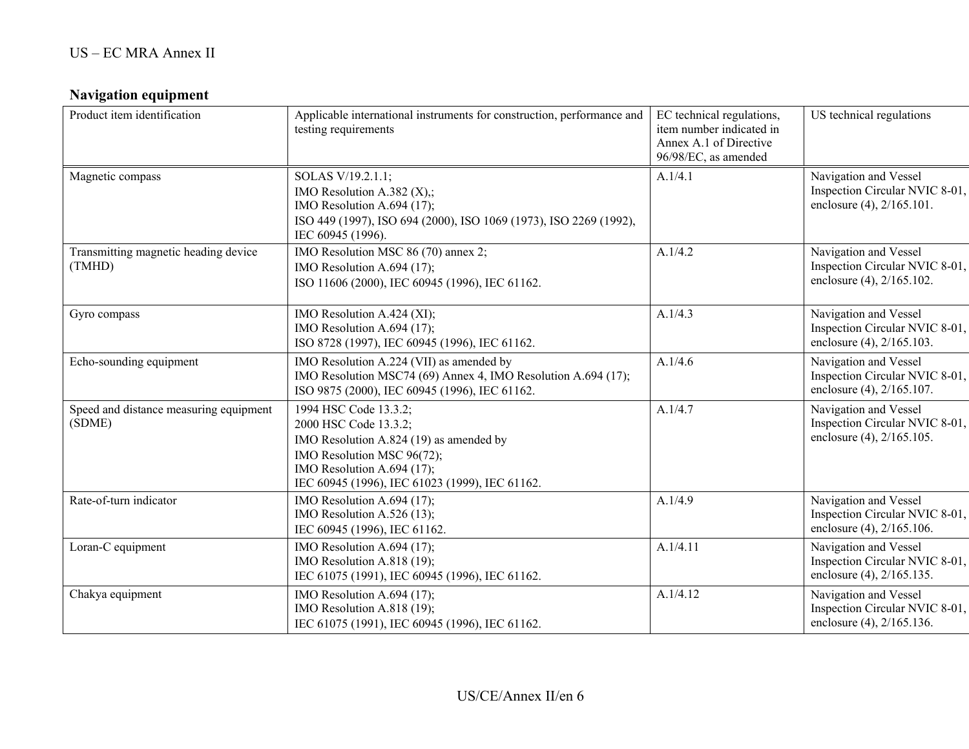# **Navigation equipment**

| Product item identification                      | Applicable international instruments for construction, performance and<br>testing requirements                                                                                                          | EC technical regulations,<br>item number indicated in<br>Annex A.1 of Directive<br>96/98/EC, as amended | US technical regulations                                                             |
|--------------------------------------------------|---------------------------------------------------------------------------------------------------------------------------------------------------------------------------------------------------------|---------------------------------------------------------------------------------------------------------|--------------------------------------------------------------------------------------|
| Magnetic compass                                 | SOLAS V/19.2.1.1;<br>IMO Resolution A.382 $(X)$ ;<br>IMO Resolution A.694 (17);<br>ISO 449 (1997), ISO 694 (2000), ISO 1069 (1973), ISO 2269 (1992),<br>IEC 60945 (1996).                               | A.1/4.1                                                                                                 | Navigation and Vessel<br>Inspection Circular NVIC 8-01,<br>enclosure (4), 2/165.101. |
| Transmitting magnetic heading device<br>(TMHD)   | IMO Resolution MSC 86 (70) annex 2;<br>IMO Resolution A.694 (17);<br>ISO 11606 (2000), IEC 60945 (1996), IEC 61162.                                                                                     | A.1/4.2                                                                                                 | Navigation and Vessel<br>Inspection Circular NVIC 8-01,<br>enclosure (4), 2/165.102. |
| Gyro compass                                     | IMO Resolution A.424 (XI);<br>IMO Resolution A.694 (17);<br>ISO 8728 (1997), IEC 60945 (1996), IEC 61162.                                                                                               | A.1/4.3                                                                                                 | Navigation and Vessel<br>Inspection Circular NVIC 8-01,<br>enclosure (4), 2/165.103. |
| Echo-sounding equipment                          | IMO Resolution A.224 (VII) as amended by<br>IMO Resolution MSC74 (69) Annex 4, IMO Resolution A.694 (17);<br>ISO 9875 (2000), IEC 60945 (1996), IEC 61162.                                              | A.1/4.6                                                                                                 | Navigation and Vessel<br>Inspection Circular NVIC 8-01,<br>enclosure (4), 2/165.107. |
| Speed and distance measuring equipment<br>(SDME) | 1994 HSC Code 13.3.2;<br>2000 HSC Code 13.3.2;<br>IMO Resolution A.824 (19) as amended by<br>IMO Resolution MSC 96(72);<br>IMO Resolution A.694 (17);<br>IEC 60945 (1996), IEC 61023 (1999), IEC 61162. | A.1/4.7                                                                                                 | Navigation and Vessel<br>Inspection Circular NVIC 8-01,<br>enclosure (4), 2/165.105. |
| Rate-of-turn indicator                           | IMO Resolution A.694 (17);<br>IMO Resolution A.526 (13);<br>IEC 60945 (1996), IEC 61162.                                                                                                                | A.1/4.9                                                                                                 | Navigation and Vessel<br>Inspection Circular NVIC 8-01,<br>enclosure (4), 2/165.106. |
| Loran-C equipment                                | IMO Resolution A.694 (17);<br>IMO Resolution A.818 (19);<br>IEC 61075 (1991), IEC 60945 (1996), IEC 61162.                                                                                              | A.1/4.11                                                                                                | Navigation and Vessel<br>Inspection Circular NVIC 8-01,<br>enclosure (4), 2/165.135. |
| Chakya equipment                                 | IMO Resolution A.694 (17);<br>IMO Resolution A.818 (19);<br>IEC 61075 (1991), IEC 60945 (1996), IEC 61162.                                                                                              | A.1/4.12                                                                                                | Navigation and Vessel<br>Inspection Circular NVIC 8-01,<br>enclosure (4), 2/165.136. |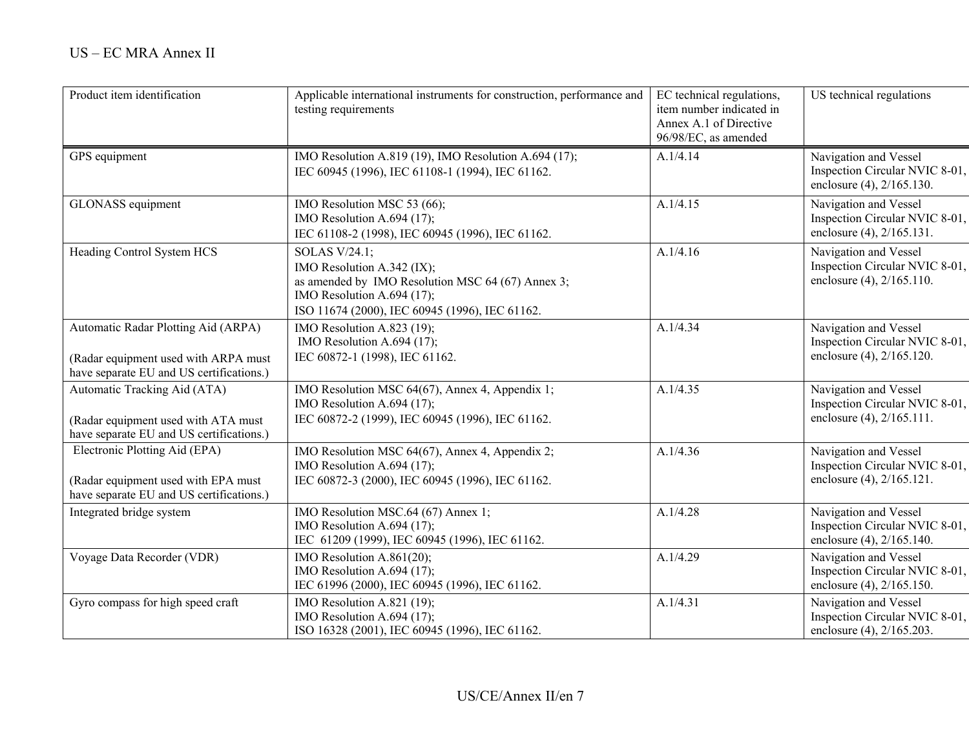| Product item identification                                                                                             | Applicable international instruments for construction, performance and<br>testing requirements                                                                                   | EC technical regulations,<br>item number indicated in<br>Annex A.1 of Directive<br>96/98/EC, as amended | US technical regulations                                                             |
|-------------------------------------------------------------------------------------------------------------------------|----------------------------------------------------------------------------------------------------------------------------------------------------------------------------------|---------------------------------------------------------------------------------------------------------|--------------------------------------------------------------------------------------|
| GPS equipment                                                                                                           | IMO Resolution A.819 (19), IMO Resolution A.694 (17);<br>IEC 60945 (1996), IEC 61108-1 (1994), IEC 61162.                                                                        | A.1/4.14                                                                                                | Navigation and Vessel<br>Inspection Circular NVIC 8-01,<br>enclosure (4), 2/165.130. |
| GLONASS equipment                                                                                                       | IMO Resolution MSC 53 (66);<br>IMO Resolution A.694 (17);<br>IEC 61108-2 (1998), IEC 60945 (1996), IEC 61162.                                                                    | A.1/4.15                                                                                                | Navigation and Vessel<br>Inspection Circular NVIC 8-01,<br>enclosure (4), 2/165.131. |
| Heading Control System HCS                                                                                              | SOLAS V/24.1;<br>IMO Resolution A.342 (IX);<br>as amended by IMO Resolution MSC 64 (67) Annex 3;<br>IMO Resolution A.694 (17);<br>ISO 11674 (2000), IEC 60945 (1996), IEC 61162. | A.1/4.16                                                                                                | Navigation and Vessel<br>Inspection Circular NVIC 8-01,<br>enclosure (4), 2/165.110. |
| Automatic Radar Plotting Aid (ARPA)<br>(Radar equipment used with ARPA must<br>have separate EU and US certifications.) | IMO Resolution A.823 (19);<br>IMO Resolution A.694 (17);<br>IEC 60872-1 (1998), IEC 61162.                                                                                       | A.1/4.34                                                                                                | Navigation and Vessel<br>Inspection Circular NVIC 8-01,<br>enclosure (4), 2/165.120. |
| Automatic Tracking Aid (ATA)<br>(Radar equipment used with ATA must<br>have separate EU and US certifications.)         | IMO Resolution MSC 64(67), Annex 4, Appendix 1;<br>IMO Resolution A.694 $(17)$ ;<br>IEC 60872-2 (1999), IEC 60945 (1996), IEC 61162.                                             | A.1/4.35                                                                                                | Navigation and Vessel<br>Inspection Circular NVIC 8-01,<br>enclosure (4), 2/165.111. |
| Electronic Plotting Aid (EPA)<br>(Radar equipment used with EPA must<br>have separate EU and US certifications.)        | IMO Resolution MSC 64(67), Annex 4, Appendix 2;<br>IMO Resolution A.694 $(17)$ ;<br>IEC 60872-3 (2000), IEC 60945 (1996), IEC 61162.                                             | A.1/4.36                                                                                                | Navigation and Vessel<br>Inspection Circular NVIC 8-01,<br>enclosure (4), 2/165.121. |
| Integrated bridge system                                                                                                | IMO Resolution MSC.64 (67) Annex 1;<br>IMO Resolution A.694 (17);<br>IEC 61209 (1999), IEC 60945 (1996), IEC 61162.                                                              | A.1/4.28                                                                                                | Navigation and Vessel<br>Inspection Circular NVIC 8-01,<br>enclosure (4), 2/165.140. |
| Voyage Data Recorder (VDR)                                                                                              | IMO Resolution A.861(20);<br>IMO Resolution A.694 (17);<br>IEC 61996 (2000), IEC 60945 (1996), IEC 61162.                                                                        | A.1/4.29                                                                                                | Navigation and Vessel<br>Inspection Circular NVIC 8-01,<br>enclosure (4), 2/165.150. |
| Gyro compass for high speed craft                                                                                       | IMO Resolution A.821 (19);<br>IMO Resolution A.694 (17);<br>ISO 16328 (2001), IEC 60945 (1996), IEC 61162.                                                                       | A.1/4.31                                                                                                | Navigation and Vessel<br>Inspection Circular NVIC 8-01,<br>enclosure (4), 2/165.203. |